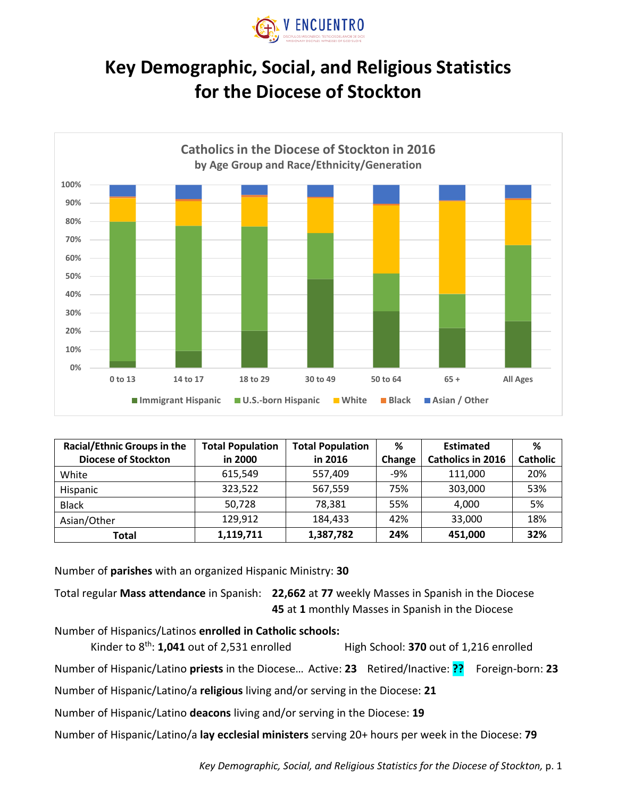

## **Key Demographic, Social, and Religious Statistics for the Diocese of Stockton**



| <b>Racial/Ethnic Groups in the</b> | <b>Total Population</b> | <b>Total Population</b> | ℅      | <b>Estimated</b>         | %               |
|------------------------------------|-------------------------|-------------------------|--------|--------------------------|-----------------|
| <b>Diocese of Stockton</b>         | in 2000                 | in 2016                 | Change | <b>Catholics in 2016</b> | <b>Catholic</b> |
| White                              | 615.549                 | 557,409                 | $-9%$  | 111.000                  | 20%             |
| Hispanic                           | 323,522                 | 567,559                 | 75%    | 303,000                  | 53%             |
| <b>Black</b>                       | 50,728                  | 78,381                  | 55%    | 4.000                    | 5%              |
| Asian/Other                        | 129,912                 | 184.433                 | 42%    | 33,000                   | 18%             |
| Total                              | 1.119.711               | 1,387,782               | 24%    | 451,000                  | 32%             |

Number of **parishes** with an organized Hispanic Ministry: **30**

Total regular **Mass attendance** in Spanish: **22,662** at **77** weekly Masses in Spanish in the Diocese **45** at **1** monthly Masses in Spanish in the Diocese

Number of Hispanics/Latinos **enrolled in Catholic schools:**

Kinder to 8<sup>th</sup>: **1,041** out of 2,531 enrolled High School: **370** out of 1,216 enrolled

Number of Hispanic/Latino **priests** in the Diocese… Active: **23** Retired/Inactive: **??** Foreign-born: **23**

Number of Hispanic/Latino/a **religious** living and/or serving in the Diocese: **21**

Number of Hispanic/Latino **deacons** living and/or serving in the Diocese: **19**

Number of Hispanic/Latino/a **lay ecclesial ministers** serving 20+ hours per week in the Diocese: **79**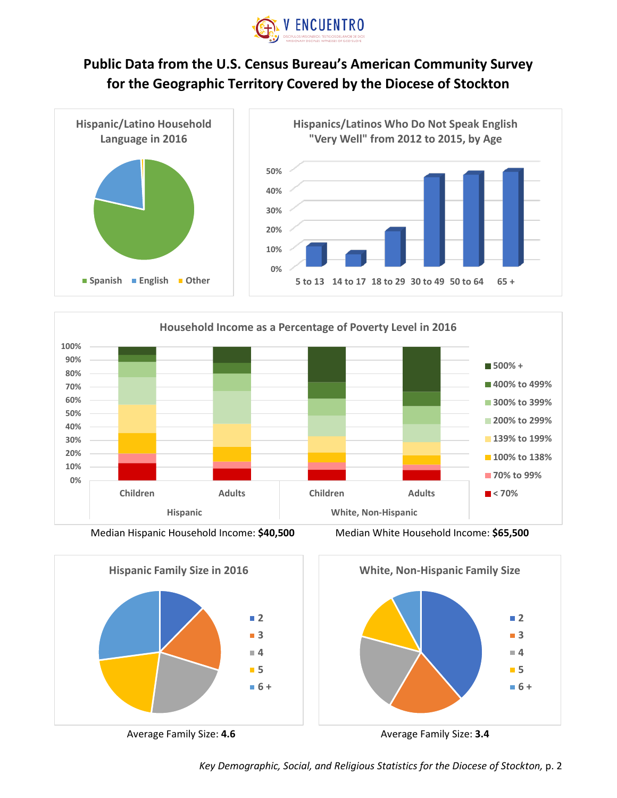

## **Public Data from the U.S. Census Bureau's American Community Survey for the Geographic Territory Covered by the Diocese of Stockton**





Median Hispanic Household Income: **\$40,500** Median White Household Income: **\$65,500**







*Key Demographic, Social, and Religious Statistics for the Diocese of Stockton,* p. 2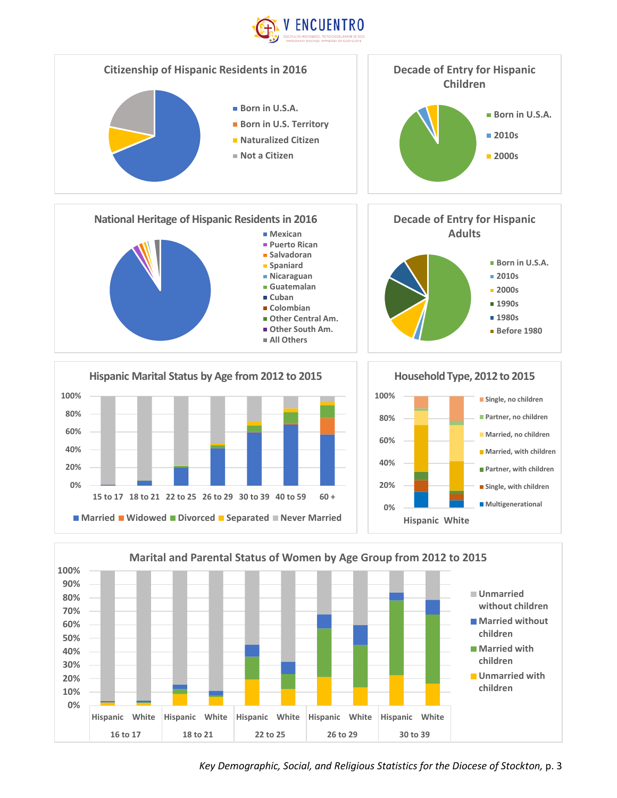



Key Demographic, Social, and Religious Statistics for the Diocese of Stockton, p. 3